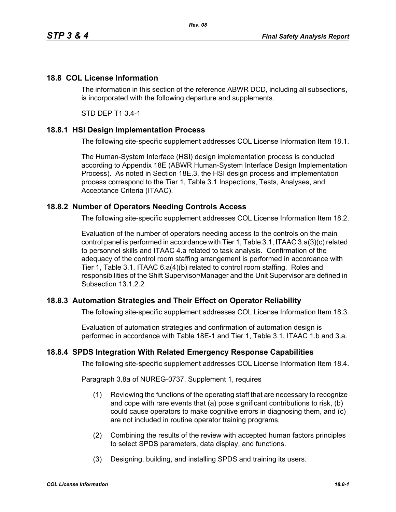## **18.8 COL License Information**

The information in this section of the reference ABWR DCD, including all subsections, is incorporated with the following departure and supplements.

STD DEP T1 3.4-1

### **18.8.1 HSI Design Implementation Process**

The following site-specific supplement addresses COL License Information Item 18.1.

The Human-System Interface (HSI) design implementation process is conducted according to Appendix 18E (ABWR Human-System Interface Design Implementation Process). As noted in Section 18E.3, the HSI design process and implementation process correspond to the Tier 1, Table 3.1 Inspections, Tests, Analyses, and Acceptance Criteria (ITAAC).

### **18.8.2 Number of Operators Needing Controls Access**

The following site-specific supplement addresses COL License Information Item 18.2.

Evaluation of the number of operators needing access to the controls on the main control panel is performed in accordance with Tier 1, Table 3.1, ITAAC 3.a(3)(c) related to personnel skills and ITAAC 4.a related to task analysis. Confirmation of the adequacy of the control room staffing arrangement is performed in accordance with Tier 1, Table 3.1, ITAAC 6.a(4)(b) related to control room staffing. Roles and responsibilities of the Shift Supervisor/Manager and the Unit Supervisor are defined in Subsection 13.1.2.2.

## **18.8.3 Automation Strategies and Their Effect on Operator Reliability**

The following site-specific supplement addresses COL License Information Item 18.3.

Evaluation of automation strategies and confirmation of automation design is performed in accordance with Table 18E-1 and Tier 1, Table 3.1, ITAAC 1.b and 3.a.

### **18.8.4 SPDS Integration With Related Emergency Response Capabilities**

The following site-specific supplement addresses COL License Information Item 18.4.

Paragraph 3.8a of NUREG-0737, Supplement 1, requires

- (1) Reviewing the functions of the operating staff that are necessary to recognize and cope with rare events that (a) pose significant contributions to risk, (b) could cause operators to make cognitive errors in diagnosing them, and (c) are not included in routine operator training programs.
- (2) Combining the results of the review with accepted human factors principles to select SPDS parameters, data display, and functions.
- (3) Designing, building, and installing SPDS and training its users.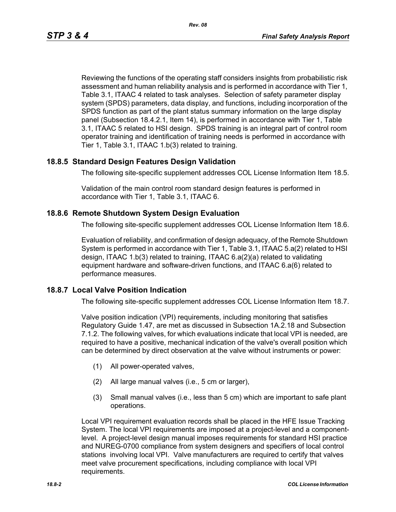Reviewing the functions of the operating staff considers insights from probabilistic risk assessment and human reliability analysis and is performed in accordance with Tier 1, Table 3.1, ITAAC 4 related to task analyses. Selection of safety parameter display system (SPDS) parameters, data display, and functions, including incorporation of the SPDS function as part of the plant status summary information on the large display panel (Subsection 18.4.2.1, Item 14), is performed in accordance with Tier 1, Table 3.1, ITAAC 5 related to HSI design. SPDS training is an integral part of control room operator training and identification of training needs is performed in accordance with Tier 1, Table 3.1, ITAAC 1.b(3) related to training.

## **18.8.5 Standard Design Features Design Validation**

The following site-specific supplement addresses COL License Information Item 18.5.

Validation of the main control room standard design features is performed in accordance with Tier 1, Table 3.1, ITAAC 6.

### **18.8.6 Remote Shutdown System Design Evaluation**

The following site-specific supplement addresses COL License Information Item 18.6.

Evaluation of reliability, and confirmation of design adequacy, of the Remote Shutdown System is performed in accordance with Tier 1, Table 3.1, ITAAC 5.a(2) related to HSI design, ITAAC 1.b(3) related to training, ITAAC 6.a(2)(a) related to validating equipment hardware and software-driven functions, and ITAAC 6.a(6) related to performance measures.

### **18.8.7 Local Valve Position Indication**

The following site-specific supplement addresses COL License Information Item 18.7.

Valve position indication (VPI) requirements, including monitoring that satisfies Regulatory Guide 1.47, are met as discussed in Subsection 1A.2.18 and Subsection 7.1.2. The following valves, for which evaluations indicate that local VPI is needed, are required to have a positive, mechanical indication of the valve's overall position which can be determined by direct observation at the valve without instruments or power:

- (1) All power-operated valves,
- (2) All large manual valves (i.e., 5 cm or larger),
- (3) Small manual valves (i.e., less than 5 cm) which are important to safe plant operations.

Local VPI requirement evaluation records shall be placed in the HFE Issue Tracking System. The local VPI requirements are imposed at a project-level and a componentlevel. A project-level design manual imposes requirements for standard HSI practice and NUREG-0700 compliance from system designers and specifiers of local control stations involving local VPI. Valve manufacturers are required to certify that valves meet valve procurement specifications, including compliance with local VPI requirements.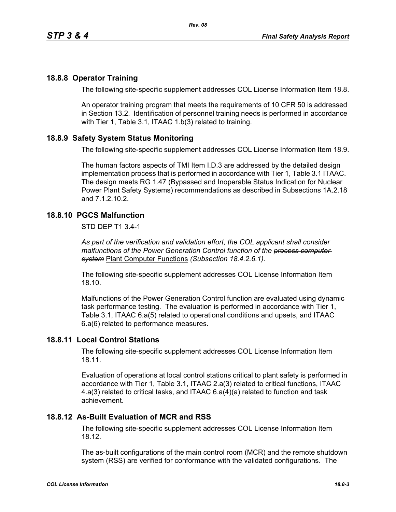## **18.8.8 Operator Training**

The following site-specific supplement addresses COL License Information Item 18.8.

An operator training program that meets the requirements of 10 CFR 50 is addressed in Section 13.2. Identification of personnel training needs is performed in accordance with Tier 1, Table 3.1, ITAAC 1.b(3) related to training.

## **18.8.9 Safety System Status Monitoring**

The following site-specific supplement addresses COL License Information Item 18.9.

The human factors aspects of TMI Item I.D.3 are addressed by the detailed design implementation process that is performed in accordance with Tier 1, Table 3.1 ITAAC. The design meets RG 1.47 (Bypassed and Inoperable Status Indication for Nuclear Power Plant Safety Systems) recommendations as described in Subsections 1A.2.18 and 7.1.2.10.2.

## **18.8.10 PGCS Malfunction**

STD DEP T1 3.4-1

*As part of the verification and validation effort, the COL applicant shall consider malfunctions of the Power Generation Control function of the process computer system* Plant Computer Functions *(Subsection 18.4.2.6.1).*

The following site-specific supplement addresses COL License Information Item 18.10.

Malfunctions of the Power Generation Control function are evaluated using dynamic task performance testing. The evaluation is performed in accordance with Tier 1, Table 3.1, ITAAC 6.a(5) related to operational conditions and upsets, and ITAAC 6.a(6) related to performance measures.

### **18.8.11 Local Control Stations**

The following site-specific supplement addresses COL License Information Item 18.11.

Evaluation of operations at local control stations critical to plant safety is performed in accordance with Tier 1, Table 3.1, ITAAC 2.a(3) related to critical functions, ITAAC 4.a(3) related to critical tasks, and ITAAC 6.a(4)(a) related to function and task achievement.

### **18.8.12 As-Built Evaluation of MCR and RSS**

The following site-specific supplement addresses COL License Information Item 18.12.

The as-built configurations of the main control room (MCR) and the remote shutdown system (RSS) are verified for conformance with the validated configurations. The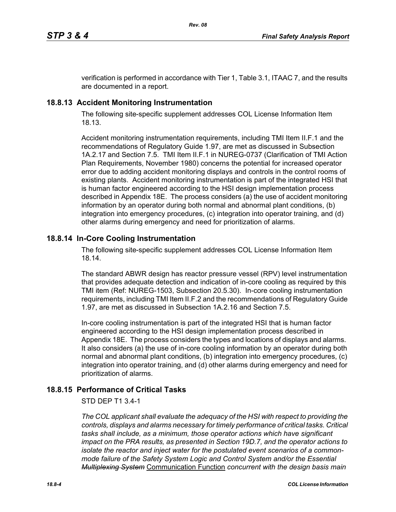verification is performed in accordance with Tier 1, Table 3.1, ITAAC 7, and the results are documented in a report.

## **18.8.13 Accident Monitoring Instrumentation**

The following site-specific supplement addresses COL License Information Item 18.13.

Accident monitoring instrumentation requirements, including TMI Item II.F.1 and the recommendations of Regulatory Guide 1.97, are met as discussed in Subsection 1A.2.17 and Section 7.5. TMI Item II.F.1 in NUREG-0737 (Clarification of TMI Action Plan Requirements, November 1980) concerns the potential for increased operator error due to adding accident monitoring displays and controls in the control rooms of existing plants. Accident monitoring instrumentation is part of the integrated HSI that is human factor engineered according to the HSI design implementation process described in Appendix 18E. The process considers (a) the use of accident monitoring information by an operator during both normal and abnormal plant conditions, (b) integration into emergency procedures, (c) integration into operator training, and (d) other alarms during emergency and need for prioritization of alarms.

## **18.8.14 In-Core Cooling Instrumentation**

The following site-specific supplement addresses COL License Information Item 18.14.

The standard ABWR design has reactor pressure vessel (RPV) level instrumentation that provides adequate detection and indication of in-core cooling as required by this TMI item (Ref: NUREG-1503, Subsection 20.5.30). In-core cooling instrumentation requirements, including TMI Item II.F.2 and the recommendations of Regulatory Guide 1.97, are met as discussed in Subsection 1A.2.16 and Section 7.5.

In-core cooling instrumentation is part of the integrated HSI that is human factor engineered according to the HSI design implementation process described in Appendix 18E. The process considers the types and locations of displays and alarms. It also considers (a) the use of in-core cooling information by an operator during both normal and abnormal plant conditions, (b) integration into emergency procedures, (c) integration into operator training, and (d) other alarms during emergency and need for prioritization of alarms.

# **18.8.15 Performance of Critical Tasks**

### STD DEP T1 3.4-1

*The COL applicant shall evaluate the adequacy of the HSI with respect to providing the controls, displays and alarms necessary for timely performance of critical tasks. Critical tasks shall include, as a minimum, those operator actions which have significant impact on the PRA results, as presented in Section 19D.7, and the operator actions to isolate the reactor and inject water for the postulated event scenarios of a commonmode failure of the Safety System Logic and Control System and/or the Essential Multiplexing System* Communication Function *concurrent with the design basis main*